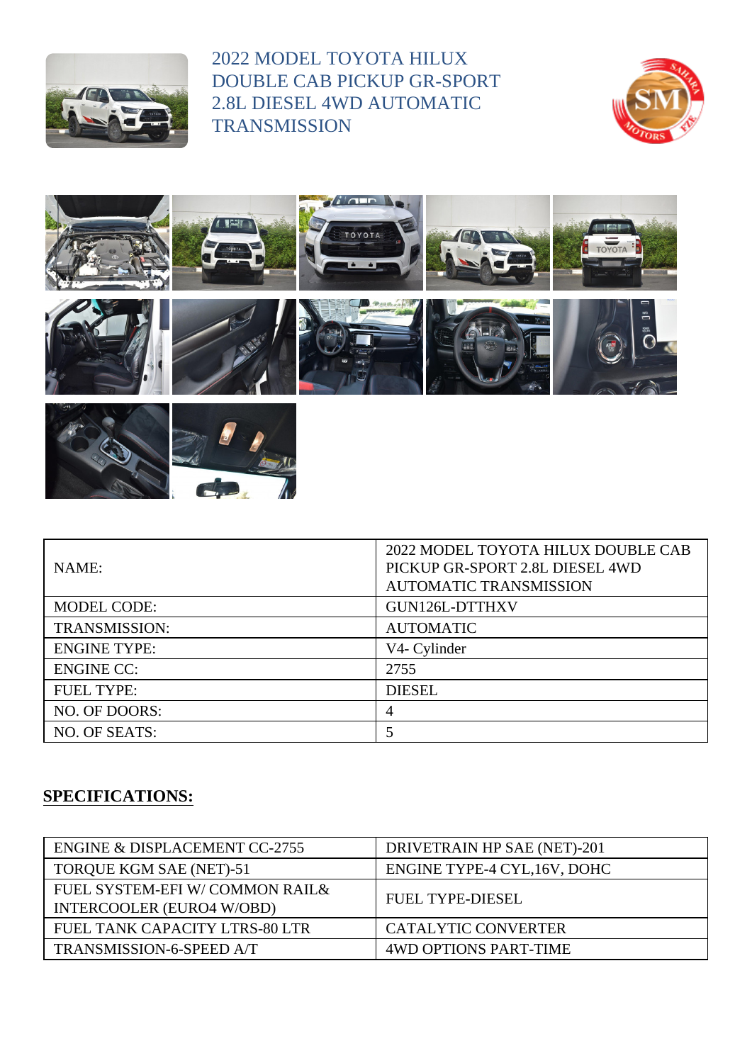

2022 MODEL TOYOTA HILUX DOUBLE CAB PICKUP GR-SPORT 2.8L DIESEL 4WD AUTOMATIC **TRANSMISSION** 









| NAME:                | 2022 MODEL TOYOTA HILUX DOUBLE CAB<br>PICKUP GR-SPORT 2.8L DIESEL 4WD<br><b>AUTOMATIC TRANSMISSION</b> |
|----------------------|--------------------------------------------------------------------------------------------------------|
| <b>MODEL CODE:</b>   | GUN126L-DTTHXV                                                                                         |
| <b>TRANSMISSION:</b> | <b>AUTOMATIC</b>                                                                                       |
| <b>ENGINE TYPE:</b>  | V4- Cylinder                                                                                           |
| <b>ENGINE CC:</b>    | 2755                                                                                                   |
| <b>FUEL TYPE:</b>    | <b>DIESEL</b>                                                                                          |
| NO. OF DOORS:        | 4                                                                                                      |
| NO. OF SEATS:        |                                                                                                        |

## **SPECIFICATIONS:**

| ENGINE & DISPLACEMENT CC-2755                                      | DRIVETRAIN HP SAE (NET)-201  |
|--------------------------------------------------------------------|------------------------------|
| TORQUE KGM SAE (NET)-51                                            | ENGINE TYPE-4 CYL, 16V, DOHC |
| FUEL SYSTEM-EFI W/COMMON RAIL&<br><b>INTERCOOLER (EURO4 W/OBD)</b> | <b>FUEL TYPE-DIESEL</b>      |
| FUEL TANK CAPACITY LTRS-80 LTR                                     | <b>CATALYTIC CONVERTER</b>   |
| TRANSMISSION-6-SPEED A/T                                           | <b>4WD OPTIONS PART-TIME</b> |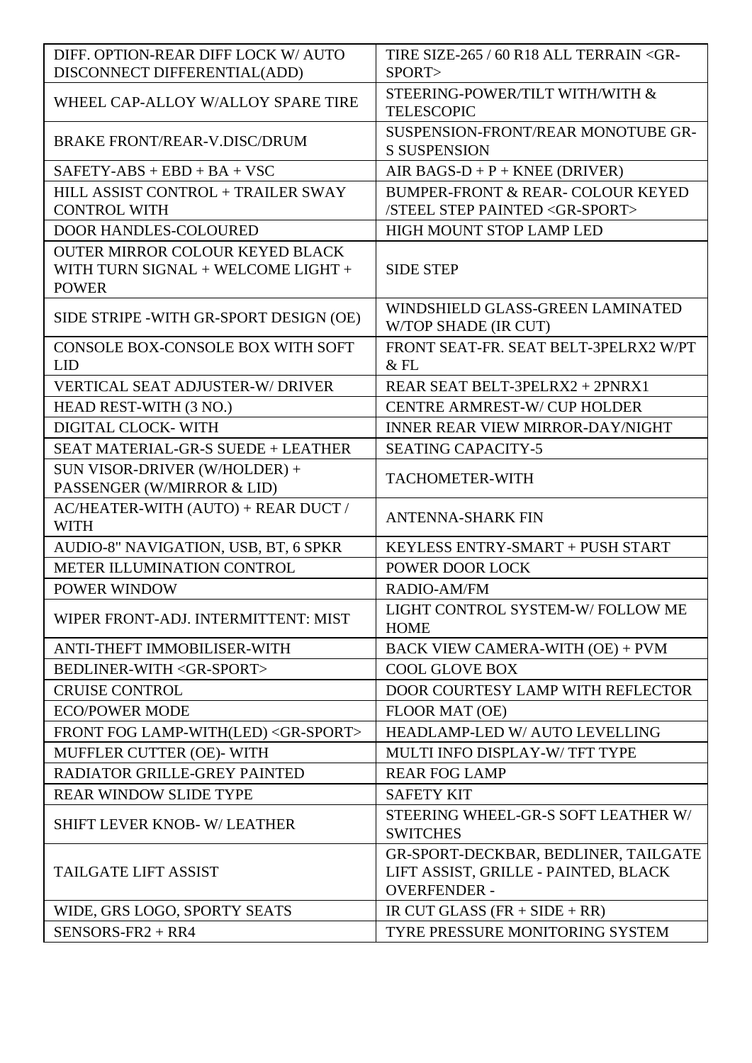| DIFF. OPTION-REAR DIFF LOCK W/ AUTO<br>DISCONNECT DIFFERENTIAL(ADD)                          | TIRE SIZE-265 / 60 R18 ALL TERRAIN < GR-<br>SPORT>                                                  |
|----------------------------------------------------------------------------------------------|-----------------------------------------------------------------------------------------------------|
| WHEEL CAP-ALLOY W/ALLOY SPARE TIRE                                                           | STEERING-POWER/TILT WITH/WITH &<br><b>TELESCOPIC</b>                                                |
| <b>BRAKE FRONT/REAR-V.DISC/DRUM</b>                                                          | SUSPENSION-FRONT/REAR MONOTUBE GR-<br><b>S SUSPENSION</b>                                           |
| $SAFETY-ABS + EBD + BA + VSC$                                                                | AIR BAGS- $D + P +$ KNEE (DRIVER)                                                                   |
| HILL ASSIST CONTROL + TRAILER SWAY                                                           | BUMPER-FRONT & REAR-COLOUR KEYED                                                                    |
| <b>CONTROL WITH</b>                                                                          | /STEEL STEP PAINTED <gr-sport></gr-sport>                                                           |
| <b>DOOR HANDLES-COLOURED</b>                                                                 | HIGH MOUNT STOP LAMP LED                                                                            |
| <b>OUTER MIRROR COLOUR KEYED BLACK</b><br>WITH TURN SIGNAL + WELCOME LIGHT +<br><b>POWER</b> | <b>SIDE STEP</b>                                                                                    |
| SIDE STRIPE - WITH GR-SPORT DESIGN (OE)                                                      | WINDSHIELD GLASS-GREEN LAMINATED<br>W/TOP SHADE (IR CUT)                                            |
| CONSOLE BOX-CONSOLE BOX WITH SOFT                                                            | FRONT SEAT-FR. SEAT BELT-3PELRX2 W/PT                                                               |
| <b>LID</b>                                                                                   | $&$ FL                                                                                              |
| <b>VERTICAL SEAT ADJUSTER-W/ DRIVER</b>                                                      | REAR SEAT BELT-3PELRX2 + 2PNRX1                                                                     |
| HEAD REST-WITH (3 NO.)                                                                       | <b>CENTRE ARMREST-W/CUP HOLDER</b>                                                                  |
| DIGITAL CLOCK-WITH                                                                           | <b>INNER REAR VIEW MIRROR-DAY/NIGHT</b>                                                             |
| SEAT MATERIAL-GR-S SUEDE + LEATHER                                                           | <b>SEATING CAPACITY-5</b>                                                                           |
| SUN VISOR-DRIVER (W/HOLDER) +<br>PASSENGER (W/MIRROR & LID)                                  | <b>TACHOMETER-WITH</b>                                                                              |
| AC/HEATER-WITH (AUTO) + REAR DUCT /<br><b>WITH</b>                                           | <b>ANTENNA-SHARK FIN</b>                                                                            |
| AUDIO-8" NAVIGATION, USB, BT, 6 SPKR                                                         | KEYLESS ENTRY-SMART + PUSH START                                                                    |
| METER ILLUMINATION CONTROL                                                                   | POWER DOOR LOCK                                                                                     |
| POWER WINDOW                                                                                 | RADIO-AM/FM                                                                                         |
| WIPER FRONT-ADJ. INTERMITTENT: MIST                                                          | LIGHT CONTROL SYSTEM-W/FOLLOW ME<br><b>HOME</b>                                                     |
| ANTI-THEFT IMMOBILISER-WITH                                                                  | BACK VIEW CAMERA-WITH (OE) + PVM                                                                    |
| BEDLINER-WITH <gr-sport></gr-sport>                                                          | <b>COOL GLOVE BOX</b>                                                                               |
| <b>CRUISE CONTROL</b>                                                                        | DOOR COURTESY LAMP WITH REFLECTOR                                                                   |
| <b>ECO/POWER MODE</b>                                                                        | FLOOR MAT (OE)                                                                                      |
| FRONT FOG LAMP-WITH(LED) <gr-sport></gr-sport>                                               | HEADLAMP-LED W/ AUTO LEVELLING                                                                      |
| MUFFLER CUTTER (OE)- WITH                                                                    | MULTI INFO DISPLAY-W/TFT TYPE                                                                       |
| RADIATOR GRILLE-GREY PAINTED                                                                 | <b>REAR FOG LAMP</b>                                                                                |
| <b>REAR WINDOW SLIDE TYPE</b>                                                                | <b>SAFETY KIT</b>                                                                                   |
| <b>SHIFT LEVER KNOB-W/LEATHER</b>                                                            | STEERING WHEEL-GR-S SOFT LEATHER W/<br><b>SWITCHES</b>                                              |
| <b>TAILGATE LIFT ASSIST</b>                                                                  | GR-SPORT-DECKBAR, BEDLINER, TAILGATE<br>LIFT ASSIST, GRILLE - PAINTED, BLACK<br><b>OVERFENDER -</b> |
| WIDE, GRS LOGO, SPORTY SEATS                                                                 | IR CUT GLASS $(FR + SIDE + RR)$                                                                     |
| SENSORS-FR2 + RR4                                                                            | TYRE PRESSURE MONITORING SYSTEM                                                                     |